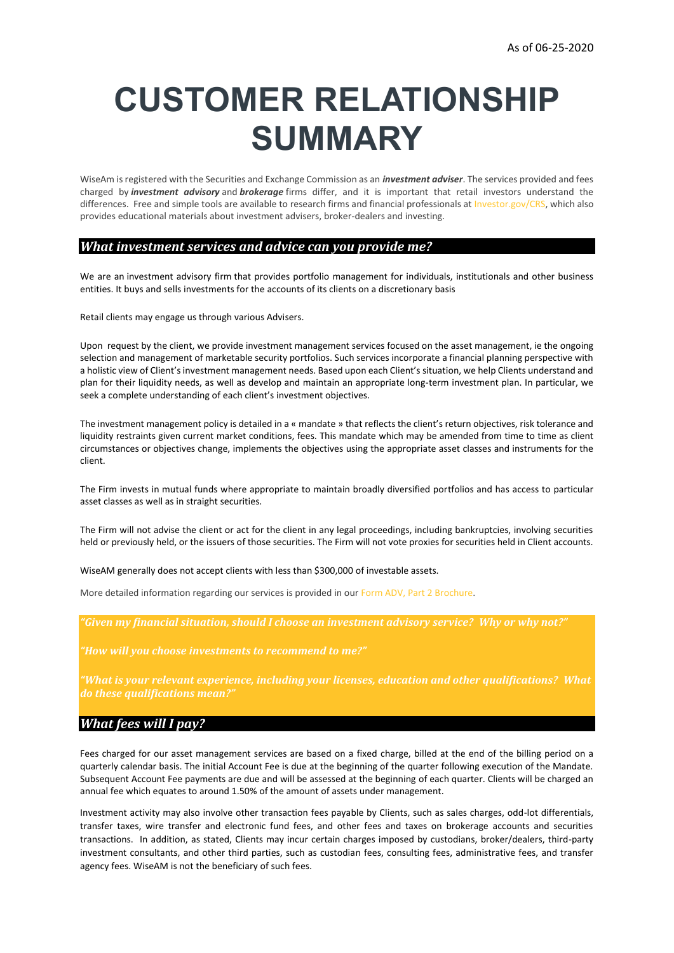# **CUSTOMER RELATIONSHIP SUMMARY**

WiseAm is registered with the Securities and Exchange Commission as an *investment adviser*. The services provided and fees charged by *investment advisory* and *brokerage* firms differ, and it is important that retail investors understand the differences. Free and simple tools are available to research firms and financial professionals at [Investor.gov/CRS,](https://www.investor.gov/CRS) which also provides educational materials about investment advisers, broker-dealers and investing.

## *What investment services and advice can you provide me?*

We are an investment advisory firm that provides portfolio management for individuals, institutionals and other business entities. It buys and sells investments for the accounts of its clients on a discretionary basis

Retail clients may engage us through various Advisers.

Upon request by the client, we provide investment management services focused on the asset management, ie the ongoing selection and management of marketable security portfolios. Such services incorporate a financial planning perspective with a holistic view of Client's investment management needs. Based upon each Client's situation, we help Clients understand and plan for their liquidity needs, as well as develop and maintain an appropriate long-term investment plan. In particular, we seek a complete understanding of each client's investment objectives.

The investment management policy is detailed in a « mandate » that reflects the client's return objectives, risk tolerance and liquidity restraints given current market conditions, fees. This mandate which may be amended from time to time as client circumstances or objectives change, implements the objectives using the appropriate asset classes and instruments for the client.

The Firm invests in mutual funds where appropriate to maintain broadly diversified portfolios and has access to particular asset classes as well as in straight securities.

The Firm will not advise the client or act for the client in any legal proceedings, including bankruptcies, involving securities held or previously held, or the issuers of those securities. The Firm will not vote proxies for securities held in Client accounts.

WiseAM generally does not accept clients with less than \$300,000 of investable assets.

More detailed information regarding our services is provided in our [Form ADV, Part 2 Brochure.](https://www.wiseam.fr/wp-content/uploads/2022/03/PART-2A-FORM-ADV-WISEAM-BROCHURE.pdf)

*"How will you choose investments to recommend to me?"*

*"What is your relevant experience, including your licenses, education and other qualifications? What do these qualifications mean?"*

## *What fees will I pay?*

Fees charged for our asset management services are based on a fixed charge, billed at the end of the billing period on a quarterly calendar basis. The initial Account Fee is due at the beginning of the quarter following execution of the Mandate. Subsequent Account Fee payments are due and will be assessed at the beginning of each quarter. Clients will be charged an annual fee which equates to around 1.50% of the amount of assets under management.

Investment activity may also involve other transaction fees payable by Clients, such as sales charges, odd-lot differentials, transfer taxes, wire transfer and electronic fund fees, and other fees and taxes on brokerage accounts and securities transactions. In addition, as stated, Clients may incur certain charges imposed by custodians, broker/dealers, third-party investment consultants, and other third parties, such as custodian fees, consulting fees, administrative fees, and transfer agency fees. WiseAM is not the beneficiary of such fees.